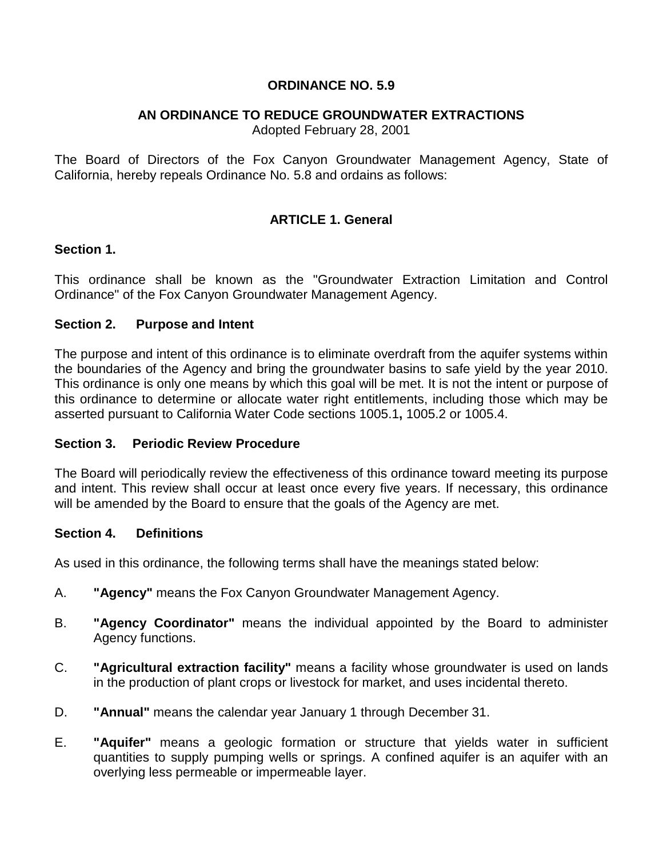#### **ORDINANCE NO. 5.9**

## **AN ORDINANCE TO REDUCE GROUNDWATER EXTRACTIONS**

Adopted February 28, 2001

The Board of Directors of the Fox Canyon Groundwater Management Agency, State of California, hereby repeals Ordinance No. 5.8 and ordains as follows:

## **ARTICLE 1. General**

#### **Section 1.**

This ordinance shall be known as the "Groundwater Extraction Limitation and Control Ordinance" of the Fox Canyon Groundwater Management Agency.

#### **Section 2. Purpose and Intent**

The purpose and intent of this ordinance is to eliminate overdraft from the aquifer systems within the boundaries of the Agency and bring the groundwater basins to safe yield by the year 2010. This ordinance is only one means by which this goal will be met. It is not the intent or purpose of this ordinance to determine or allocate water right entitlements, including those which may be asserted pursuant to California Water Code sections 1005.1**,** 1005.2 or 1005.4.

#### **Section 3. Periodic Review Procedure**

The Board will periodically review the effectiveness of this ordinance toward meeting its purpose and intent. This review shall occur at least once every five years. If necessary, this ordinance will be amended by the Board to ensure that the goals of the Agency are met.

#### **Section 4. Definitions**

As used in this ordinance, the following terms shall have the meanings stated below:

- A. **"Agency"** means the Fox Canyon Groundwater Management Agency.
- B. **"Agency Coordinator"** means the individual appointed by the Board to administer Agency functions.
- C. **"Agricultural extraction facility"** means a facility whose groundwater is used on lands in the production of plant crops or livestock for market, and uses incidental thereto.
- D. **"Annual"** means the calendar year January 1 through December 31.
- E. **"Aquifer"** means a geologic formation or structure that yields water in sufficient quantities to supply pumping wells or springs. A confined aquifer is an aquifer with an overlying less permeable or impermeable layer.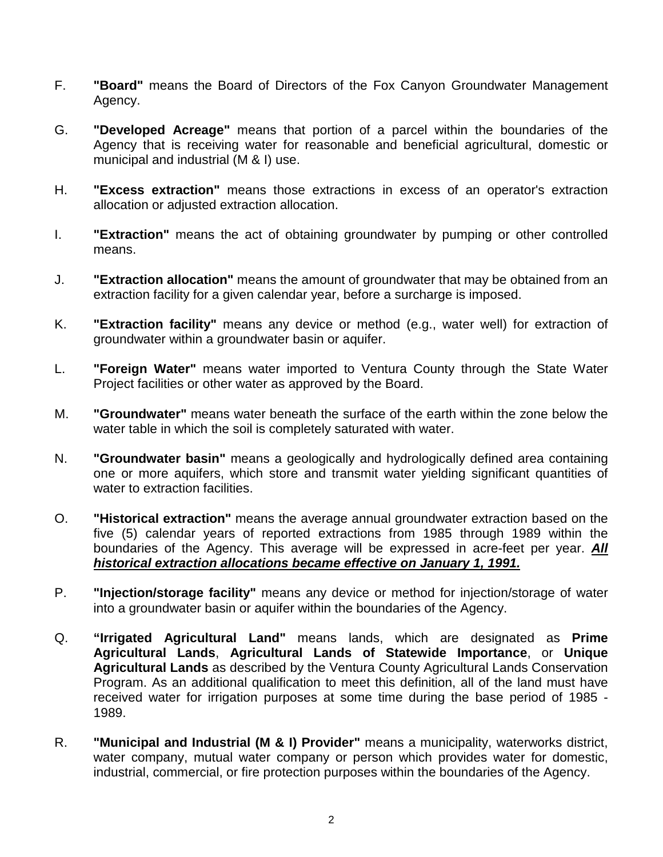- F. **"Board"** means the Board of Directors of the Fox Canyon Groundwater Management Agency.
- G. **"Developed Acreage"** means that portion of a parcel within the boundaries of the Agency that is receiving water for reasonable and beneficial agricultural, domestic or municipal and industrial (M & I) use.
- H. **"Excess extraction"** means those extractions in excess of an operator's extraction allocation or adjusted extraction allocation.
- I. **"Extraction"** means the act of obtaining groundwater by pumping or other controlled means.
- J. **"Extraction allocation"** means the amount of groundwater that may be obtained from an extraction facility for a given calendar year, before a surcharge is imposed.
- K. **"Extraction facility"** means any device or method (e.g., water well) for extraction of groundwater within a groundwater basin or aquifer.
- L. **"Foreign Water"** means water imported to Ventura County through the State Water Project facilities or other water as approved by the Board.
- M. **"Groundwater"** means water beneath the surface of the earth within the zone below the water table in which the soil is completely saturated with water.
- N. **"Groundwater basin"** means a geologically and hydrologically defined area containing one or more aquifers, which store and transmit water yielding significant quantities of water to extraction facilities.
- O. **"Historical extraction"** means the average annual groundwater extraction based on the five (5) calendar years of reported extractions from 1985 through 1989 within the boundaries of the Agency. This average will be expressed in acre-feet per year. *All historical extraction allocations became effective on January 1, 1991.*
- P. **"Injection/storage facility"** means any device or method for injection/storage of water into a groundwater basin or aquifer within the boundaries of the Agency.
- Q. **"Irrigated Agricultural Land"** means lands, which are designated as **Prime Agricultural Lands**, **Agricultural Lands of Statewide Importance**, or **Unique Agricultural Lands** as described by the Ventura County Agricultural Lands Conservation Program. As an additional qualification to meet this definition, all of the land must have received water for irrigation purposes at some time during the base period of 1985 - 1989.
- R. **"Municipal and Industrial (M & I) Provider"** means a municipality, waterworks district, water company, mutual water company or person which provides water for domestic, industrial, commercial, or fire protection purposes within the boundaries of the Agency.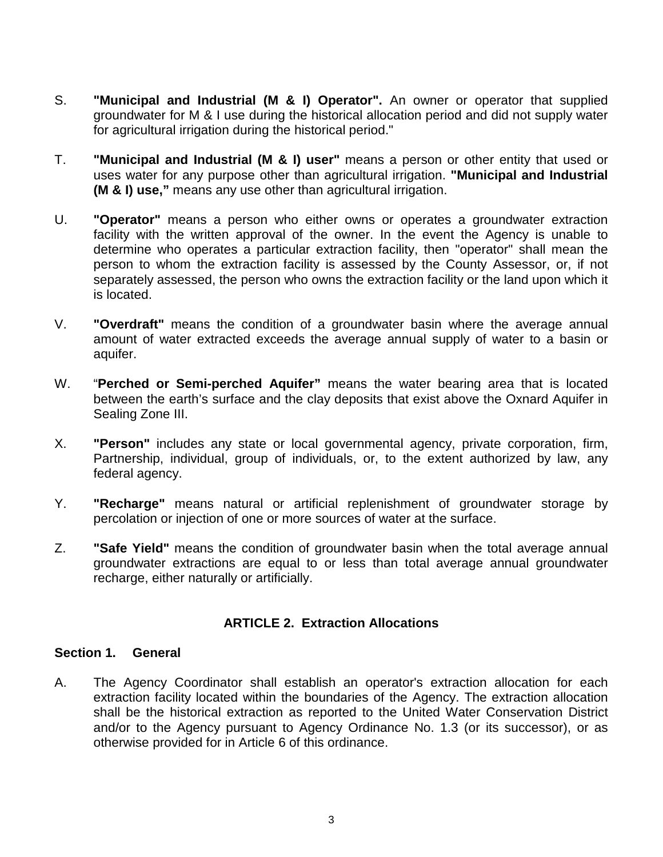- S. **"Municipal and Industrial (M & I) Operator".** An owner or operator that supplied groundwater for M & I use during the historical allocation period and did not supply water for agricultural irrigation during the historical period."
- T. **"Municipal and Industrial (M & I) user"** means a person or other entity that used or uses water for any purpose other than agricultural irrigation. **"Municipal and Industrial (M & I) use,"** means any use other than agricultural irrigation.
- U. **"Operator"** means a person who either owns or operates a groundwater extraction facility with the written approval of the owner. In the event the Agency is unable to determine who operates a particular extraction facility, then "operator" shall mean the person to whom the extraction facility is assessed by the County Assessor, or, if not separately assessed, the person who owns the extraction facility or the land upon which it is located.
- V. **"Overdraft"** means the condition of a groundwater basin where the average annual amount of water extracted exceeds the average annual supply of water to a basin or aquifer.
- W. "**Perched or Semi-perched Aquifer"** means the water bearing area that is located between the earth's surface and the clay deposits that exist above the Oxnard Aquifer in Sealing Zone III.
- X. **"Person"** includes any state or local governmental agency, private corporation, firm, Partnership, individual, group of individuals, or, to the extent authorized by law, any federal agency.
- Y. **"Recharge"** means natural or artificial replenishment of groundwater storage by percolation or injection of one or more sources of water at the surface.
- Z. **"Safe Yield"** means the condition of groundwater basin when the total average annual groundwater extractions are equal to or less than total average annual groundwater recharge, either naturally or artificially.

## **ARTICLE 2. Extraction Allocations**

#### **Section 1. General**

A. The Agency Coordinator shall establish an operator's extraction allocation for each extraction facility located within the boundaries of the Agency. The extraction allocation shall be the historical extraction as reported to the United Water Conservation District and/or to the Agency pursuant to Agency Ordinance No. 1.3 (or its successor), or as otherwise provided for in Article 6 of this ordinance.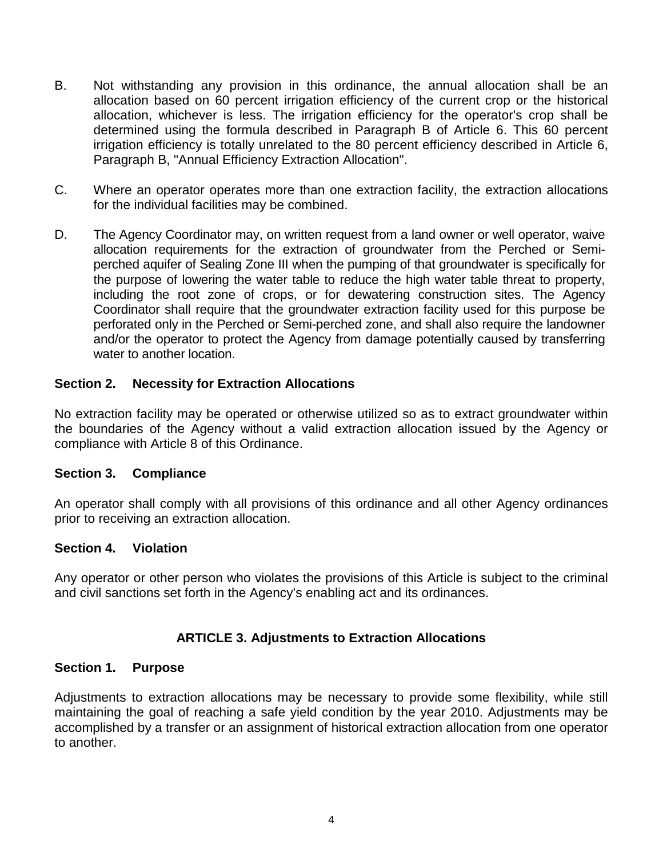- B. Not withstanding any provision in this ordinance, the annual allocation shall be an allocation based on 60 percent irrigation efficiency of the current crop or the historical allocation, whichever is less. The irrigation efficiency for the operator's crop shall be determined using the formula described in Paragraph B of Article 6. This 60 percent irrigation efficiency is totally unrelated to the 80 percent efficiency described in Article 6, Paragraph B, "Annual Efficiency Extraction Allocation".
- C. Where an operator operates more than one extraction facility, the extraction allocations for the individual facilities may be combined.
- D. The Agency Coordinator may, on written request from a land owner or well operator, waive allocation requirements for the extraction of groundwater from the Perched or Semiperched aquifer of Sealing Zone III when the pumping of that groundwater is specifically for the purpose of lowering the water table to reduce the high water table threat to property, including the root zone of crops, or for dewatering construction sites. The Agency Coordinator shall require that the groundwater extraction facility used for this purpose be perforated only in the Perched or Semi-perched zone, and shall also require the landowner and/or the operator to protect the Agency from damage potentially caused by transferring water to another location.

## **Section 2. Necessity for Extraction Allocations**

No extraction facility may be operated or otherwise utilized so as to extract groundwater within the boundaries of the Agency without a valid extraction allocation issued by the Agency or compliance with Article 8 of this Ordinance.

#### **Section 3. Compliance**

An operator shall comply with all provisions of this ordinance and all other Agency ordinances prior to receiving an extraction allocation.

#### **Section 4. Violation**

Any operator or other person who violates the provisions of this Article is subject to the criminal and civil sanctions set forth in the Agency's enabling act and its ordinances.

#### **ARTICLE 3. Adjustments to Extraction Allocations**

## **Section 1. Purpose**

Adjustments to extraction allocations may be necessary to provide some flexibility, while still maintaining the goal of reaching a safe yield condition by the year 2010. Adjustments may be accomplished by a transfer or an assignment of historical extraction allocation from one operator to another.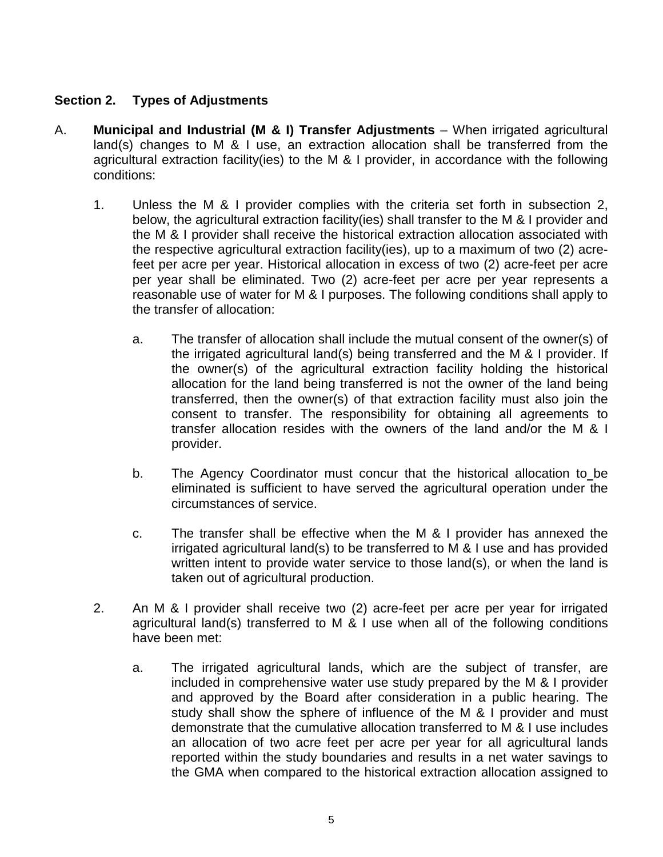## **Section 2. Types of Adjustments**

- A. **Municipal and Industrial (M & I) Transfer Adjustments** When irrigated agricultural land(s) changes to M & I use, an extraction allocation shall be transferred from the agricultural extraction facility(ies) to the M & I provider, in accordance with the following conditions:
	- 1. Unless the M & I provider complies with the criteria set forth in subsection 2, below, the agricultural extraction facility(ies) shall transfer to the M & I provider and the M & I provider shall receive the historical extraction allocation associated with the respective agricultural extraction facility(ies), up to a maximum of two (2) acrefeet per acre per year. Historical allocation in excess of two (2) acre-feet per acre per year shall be eliminated. Two (2) acre-feet per acre per year represents a reasonable use of water for M & I purposes. The following conditions shall apply to the transfer of allocation:
		- a. The transfer of allocation shall include the mutual consent of the owner(s) of the irrigated agricultural land(s) being transferred and the M & I provider. If the owner(s) of the agricultural extraction facility holding the historical allocation for the land being transferred is not the owner of the land being transferred, then the owner(s) of that extraction facility must also join the consent to transfer. The responsibility for obtaining all agreements to transfer allocation resides with the owners of the land and/or the M & I provider.
		- b. The Agency Coordinator must concur that the historical allocation to be eliminated is sufficient to have served the agricultural operation under the circumstances of service.
		- c. The transfer shall be effective when the M & I provider has annexed the irrigated agricultural land(s) to be transferred to M & I use and has provided written intent to provide water service to those land(s), or when the land is taken out of agricultural production.
	- 2. An M & I provider shall receive two (2) acre-feet per acre per year for irrigated agricultural land(s) transferred to M & I use when all of the following conditions have been met:
		- a. The irrigated agricultural lands, which are the subject of transfer, are included in comprehensive water use study prepared by the M & I provider and approved by the Board after consideration in a public hearing. The study shall show the sphere of influence of the M & I provider and must demonstrate that the cumulative allocation transferred to M & I use includes an allocation of two acre feet per acre per year for all agricultural lands reported within the study boundaries and results in a net water savings to the GMA when compared to the historical extraction allocation assigned to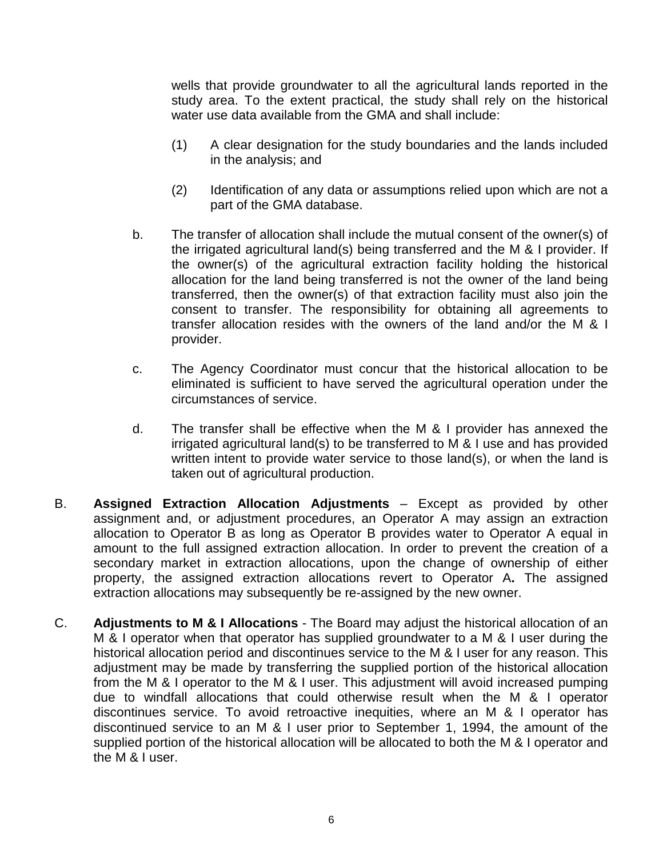wells that provide groundwater to all the agricultural lands reported in the study area. To the extent practical, the study shall rely on the historical water use data available from the GMA and shall include:

- (1) A clear designation for the study boundaries and the lands included in the analysis; and
- (2) Identification of any data or assumptions relied upon which are not a part of the GMA database.
- b. The transfer of allocation shall include the mutual consent of the owner(s) of the irrigated agricultural land(s) being transferred and the M & I provider. If the owner(s) of the agricultural extraction facility holding the historical allocation for the land being transferred is not the owner of the land being transferred, then the owner(s) of that extraction facility must also join the consent to transfer. The responsibility for obtaining all agreements to transfer allocation resides with the owners of the land and/or the M & I provider.
- c. The Agency Coordinator must concur that the historical allocation to be eliminated is sufficient to have served the agricultural operation under the circumstances of service.
- d. The transfer shall be effective when the M & I provider has annexed the irrigated agricultural land(s) to be transferred to M & I use and has provided written intent to provide water service to those land(s), or when the land is taken out of agricultural production.
- B. **Assigned Extraction Allocation Adjustments** Except as provided by other assignment and, or adjustment procedures, an Operator A may assign an extraction allocation to Operator B as long as Operator B provides water to Operator A equal in amount to the full assigned extraction allocation. In order to prevent the creation of a secondary market in extraction allocations, upon the change of ownership of either property, the assigned extraction allocations revert to Operator A**.** The assigned extraction allocations may subsequently be re-assigned by the new owner.
- C. **Adjustments to M & I Allocations** The Board may adjust the historical allocation of an M & I operator when that operator has supplied groundwater to a M & I user during the historical allocation period and discontinues service to the M & I user for any reason. This adjustment may be made by transferring the supplied portion of the historical allocation from the M & I operator to the M & I user. This adjustment will avoid increased pumping due to windfall allocations that could otherwise result when the M & I operator discontinues service. To avoid retroactive inequities, where an M & I operator has discontinued service to an M & I user prior to September 1, 1994, the amount of the supplied portion of the historical allocation will be allocated to both the M & I operator and the M & I user.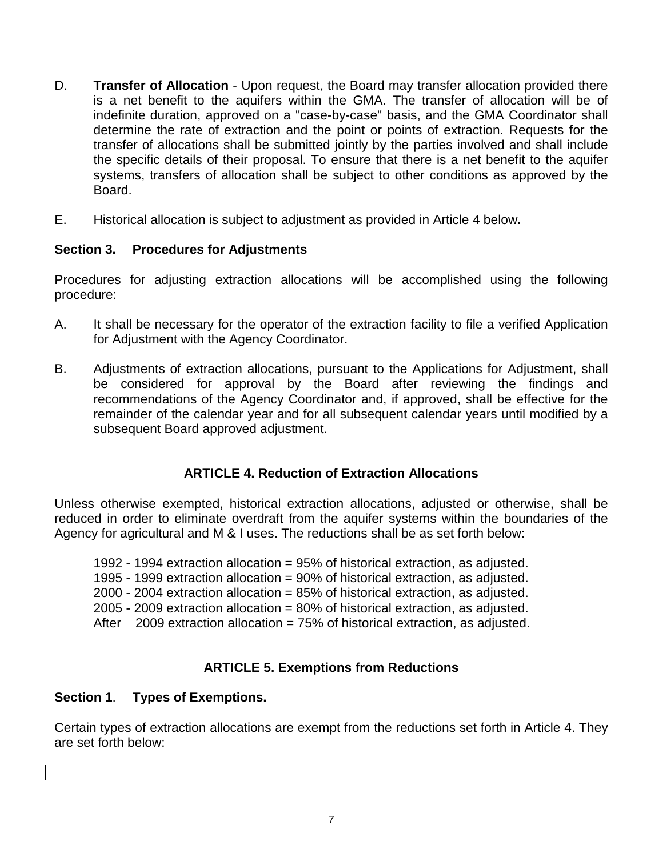- D. **Transfer of Allocation** Upon request, the Board may transfer allocation provided there is a net benefit to the aquifers within the GMA. The transfer of allocation will be of indefinite duration, approved on a "case-by-case" basis, and the GMA Coordinator shall determine the rate of extraction and the point or points of extraction. Requests for the transfer of allocations shall be submitted jointly by the parties involved and shall include the specific details of their proposal. To ensure that there is a net benefit to the aquifer systems, transfers of allocation shall be subject to other conditions as approved by the Board.
- E. Historical allocation is subject to adjustment as provided in Article 4 below**.**

## **Section 3. Procedures for Adjustments**

Procedures for adjusting extraction allocations will be accomplished using the following procedure:

- A. It shall be necessary for the operator of the extraction facility to file a verified Application for Adjustment with the Agency Coordinator.
- B. Adjustments of extraction allocations, pursuant to the Applications for Adjustment, shall be considered for approval by the Board after reviewing the findings and recommendations of the Agency Coordinator and, if approved, shall be effective for the remainder of the calendar year and for all subsequent calendar years until modified by a subsequent Board approved adjustment.

## **ARTICLE 4. Reduction of Extraction Allocations**

Unless otherwise exempted, historical extraction allocations, adjusted or otherwise, shall be reduced in order to eliminate overdraft from the aquifer systems within the boundaries of the Agency for agricultural and M & I uses. The reductions shall be as set forth below:

- 1992 1994 extraction allocation = 95% of historical extraction, as adjusted.
- 1995 1999 extraction allocation = 90% of historical extraction, as adjusted.
- 2000 2004 extraction allocation = 85% of historical extraction, as adjusted.
- 2005 2009 extraction allocation = 80% of historical extraction, as adjusted.
- After 2009 extraction allocation = 75% of historical extraction, as adjusted.

## **ARTICLE 5. Exemptions from Reductions**

#### **Section 1**. **Types of Exemptions.**

Certain types of extraction allocations are exempt from the reductions set forth in Article 4. They are set forth below: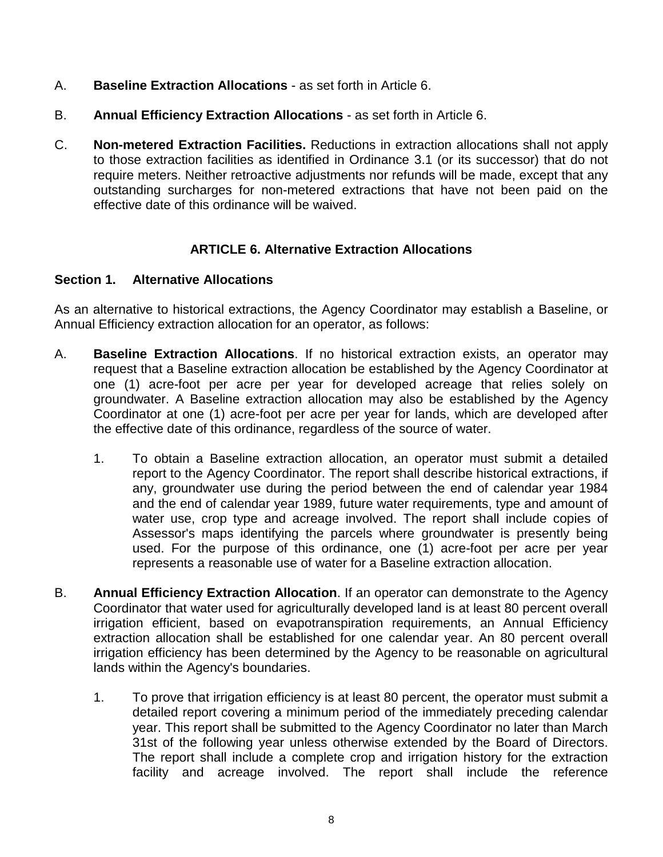- A. **Baseline Extraction Allocations** as set forth in Article 6.
- B. **Annual Efficiency Extraction Allocations** as set forth in Article 6.
- C. **Non-metered Extraction Facilities.** Reductions in extraction allocations shall not apply to those extraction facilities as identified in Ordinance 3.1 (or its successor) that do not require meters. Neither retroactive adjustments nor refunds will be made, except that any outstanding surcharges for non-metered extractions that have not been paid on the effective date of this ordinance will be waived.

## **ARTICLE 6. Alternative Extraction Allocations**

## **Section 1. Alternative Allocations**

As an alternative to historical extractions, the Agency Coordinator may establish a Baseline, or Annual Efficiency extraction allocation for an operator, as follows:

- A. **Baseline Extraction Allocations**. If no historical extraction exists, an operator may request that a Baseline extraction allocation be established by the Agency Coordinator at one (1) acre-foot per acre per year for developed acreage that relies solely on groundwater. A Baseline extraction allocation may also be established by the Agency Coordinator at one (1) acre-foot per acre per year for lands, which are developed after the effective date of this ordinance, regardless of the source of water.
	- 1. To obtain a Baseline extraction allocation, an operator must submit a detailed report to the Agency Coordinator. The report shall describe historical extractions, if any, groundwater use during the period between the end of calendar year 1984 and the end of calendar year 1989, future water requirements, type and amount of water use, crop type and acreage involved. The report shall include copies of Assessor's maps identifying the parcels where groundwater is presently being used. For the purpose of this ordinance, one (1) acre-foot per acre per year represents a reasonable use of water for a Baseline extraction allocation.
- B. **Annual Efficiency Extraction Allocation**. If an operator can demonstrate to the Agency Coordinator that water used for agriculturally developed land is at least 80 percent overall irrigation efficient, based on evapotranspiration requirements, an Annual Efficiency extraction allocation shall be established for one calendar year. An 80 percent overall irrigation efficiency has been determined by the Agency to be reasonable on agricultural lands within the Agency's boundaries.
	- 1. To prove that irrigation efficiency is at least 80 percent, the operator must submit a detailed report covering a minimum period of the immediately preceding calendar year. This report shall be submitted to the Agency Coordinator no later than March 31st of the following year unless otherwise extended by the Board of Directors. The report shall include a complete crop and irrigation history for the extraction facility and acreage involved. The report shall include the reference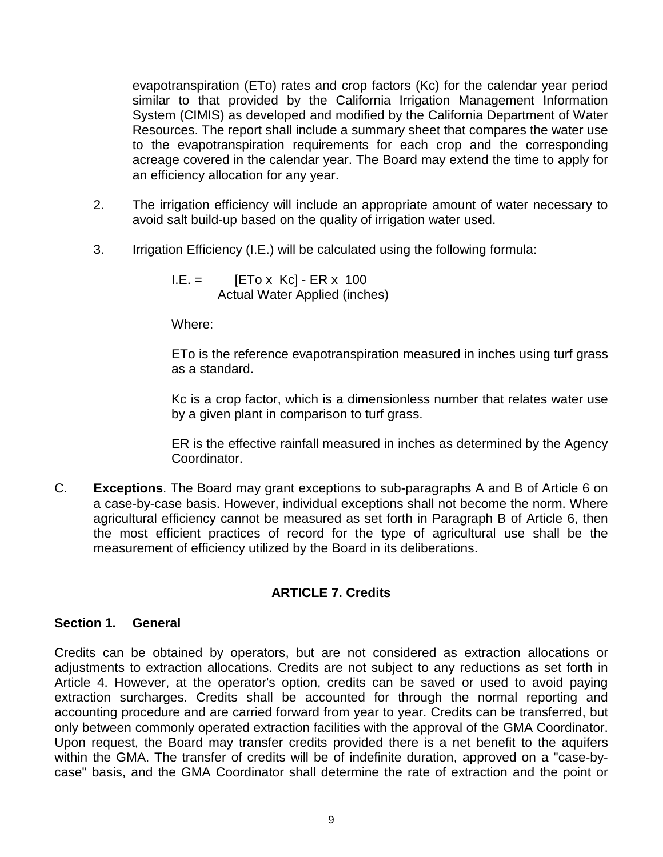evapotranspiration (ETo) rates and crop factors (Kc) for the calendar year period similar to that provided by the California Irrigation Management Information System (CIMIS) as developed and modified by the California Department of Water Resources. The report shall include a summary sheet that compares the water use to the evapotranspiration requirements for each crop and the corresponding acreage covered in the calendar year. The Board may extend the time to apply for an efficiency allocation for any year.

- 2. The irrigation efficiency will include an appropriate amount of water necessary to avoid salt build-up based on the quality of irrigation water used.
- 3. Irrigation Efficiency (I.E.) will be calculated using the following formula:

 $I.E. = \_ [ETo \times Kc] - ER \times 100$ Actual Water Applied (inches)

Where:

ETo is the reference evapotranspiration measured in inches using turf grass as a standard.

Kc is a crop factor, which is a dimensionless number that relates water use by a given plant in comparison to turf grass.

ER is the effective rainfall measured in inches as determined by the Agency Coordinator.

C. **Exceptions**. The Board may grant exceptions to sub-paragraphs A and B of Article 6 on a case-by-case basis. However, individual exceptions shall not become the norm. Where agricultural efficiency cannot be measured as set forth in Paragraph B of Article 6, then the most efficient practices of record for the type of agricultural use shall be the measurement of efficiency utilized by the Board in its deliberations.

## **ARTICLE 7. Credits**

## **Section 1. General**

Credits can be obtained by operators, but are not considered as extraction allocations or adjustments to extraction allocations. Credits are not subject to any reductions as set forth in Article 4. However, at the operator's option, credits can be saved or used to avoid paying extraction surcharges. Credits shall be accounted for through the normal reporting and accounting procedure and are carried forward from year to year. Credits can be transferred, but only between commonly operated extraction facilities with the approval of the GMA Coordinator. Upon request, the Board may transfer credits provided there is a net benefit to the aquifers within the GMA. The transfer of credits will be of indefinite duration, approved on a "case-bycase" basis, and the GMA Coordinator shall determine the rate of extraction and the point or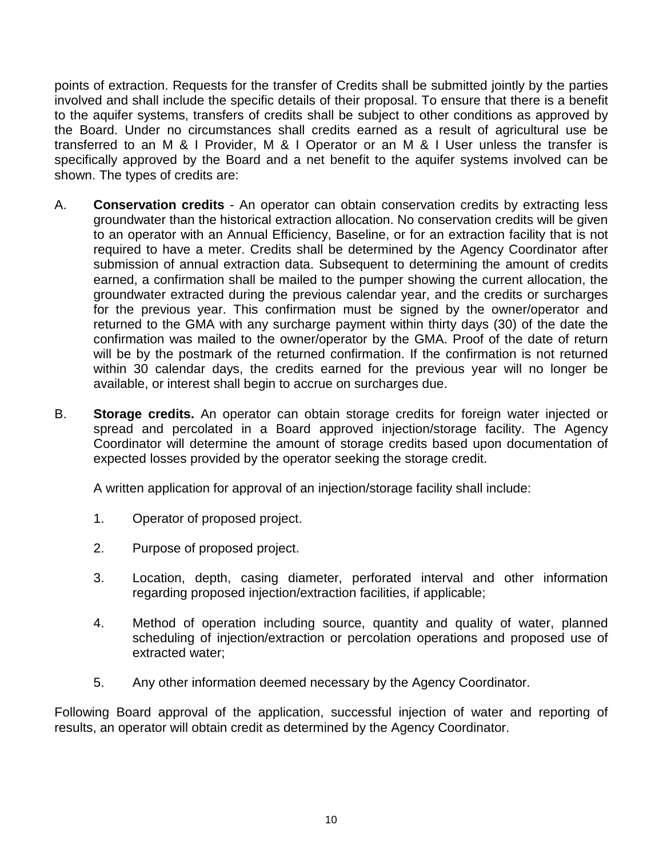points of extraction. Requests for the transfer of Credits shall be submitted jointly by the parties involved and shall include the specific details of their proposal. To ensure that there is a benefit to the aquifer systems, transfers of credits shall be subject to other conditions as approved by the Board. Under no circumstances shall credits earned as a result of agricultural use be transferred to an M & I Provider, M & I Operator or an M & I User unless the transfer is specifically approved by the Board and a net benefit to the aquifer systems involved can be shown. The types of credits are:

- A. **Conservation credits** An operator can obtain conservation credits by extracting less groundwater than the historical extraction allocation. No conservation credits will be given to an operator with an Annual Efficiency, Baseline, or for an extraction facility that is not required to have a meter. Credits shall be determined by the Agency Coordinator after submission of annual extraction data. Subsequent to determining the amount of credits earned, a confirmation shall be mailed to the pumper showing the current allocation, the groundwater extracted during the previous calendar year, and the credits or surcharges for the previous year. This confirmation must be signed by the owner/operator and returned to the GMA with any surcharge payment within thirty days (30) of the date the confirmation was mailed to the owner/operator by the GMA. Proof of the date of return will be by the postmark of the returned confirmation. If the confirmation is not returned within 30 calendar days, the credits earned for the previous year will no longer be available, or interest shall begin to accrue on surcharges due.
- B. **Storage credits.** An operator can obtain storage credits for foreign water injected or spread and percolated in a Board approved injection/storage facility. The Agency Coordinator will determine the amount of storage credits based upon documentation of expected losses provided by the operator seeking the storage credit.

A written application for approval of an injection/storage facility shall include:

- 1. Operator of proposed project.
- 2. Purpose of proposed project.
- 3. Location, depth, casing diameter, perforated interval and other information regarding proposed injection/extraction facilities, if applicable;
- 4. Method of operation including source, quantity and quality of water, planned scheduling of injection/extraction or percolation operations and proposed use of extracted water;
- 5. Any other information deemed necessary by the Agency Coordinator.

Following Board approval of the application, successful injection of water and reporting of results, an operator will obtain credit as determined by the Agency Coordinator.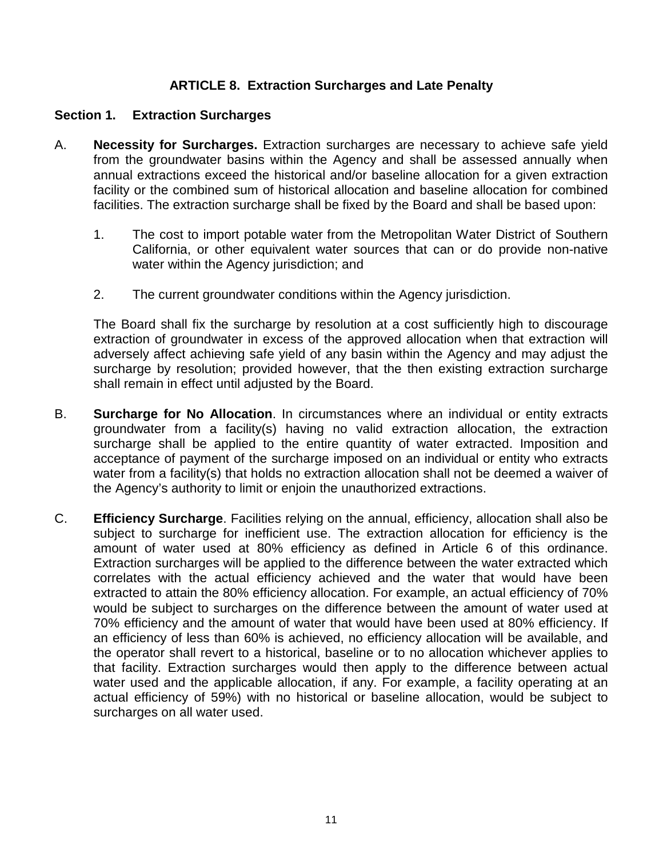## **ARTICLE 8. Extraction Surcharges and Late Penalty**

#### **Section 1. Extraction Surcharges**

- A. **Necessity for Surcharges.** Extraction surcharges are necessary to achieve safe yield from the groundwater basins within the Agency and shall be assessed annually when annual extractions exceed the historical and/or baseline allocation for a given extraction facility or the combined sum of historical allocation and baseline allocation for combined facilities. The extraction surcharge shall be fixed by the Board and shall be based upon:
	- 1. The cost to import potable water from the Metropolitan Water District of Southern California, or other equivalent water sources that can or do provide non-native water within the Agency jurisdiction; and
	- 2. The current groundwater conditions within the Agency jurisdiction.

The Board shall fix the surcharge by resolution at a cost sufficiently high to discourage extraction of groundwater in excess of the approved allocation when that extraction will adversely affect achieving safe yield of any basin within the Agency and may adjust the surcharge by resolution; provided however, that the then existing extraction surcharge shall remain in effect until adjusted by the Board.

- B. **Surcharge for No Allocation**. In circumstances where an individual or entity extracts groundwater from a facility(s) having no valid extraction allocation, the extraction surcharge shall be applied to the entire quantity of water extracted. Imposition and acceptance of payment of the surcharge imposed on an individual or entity who extracts water from a facility(s) that holds no extraction allocation shall not be deemed a waiver of the Agency's authority to limit or enjoin the unauthorized extractions.
- C. **Efficiency Surcharge**. Facilities relying on the annual, efficiency, allocation shall also be subject to surcharge for inefficient use. The extraction allocation for efficiency is the amount of water used at 80% efficiency as defined in Article 6 of this ordinance. Extraction surcharges will be applied to the difference between the water extracted which correlates with the actual efficiency achieved and the water that would have been extracted to attain the 80% efficiency allocation. For example, an actual efficiency of 70% would be subject to surcharges on the difference between the amount of water used at 70% efficiency and the amount of water that would have been used at 80% efficiency. If an efficiency of less than 60% is achieved, no efficiency allocation will be available, and the operator shall revert to a historical, baseline or to no allocation whichever applies to that facility. Extraction surcharges would then apply to the difference between actual water used and the applicable allocation, if any. For example, a facility operating at an actual efficiency of 59%) with no historical or baseline allocation, would be subject to surcharges on all water used.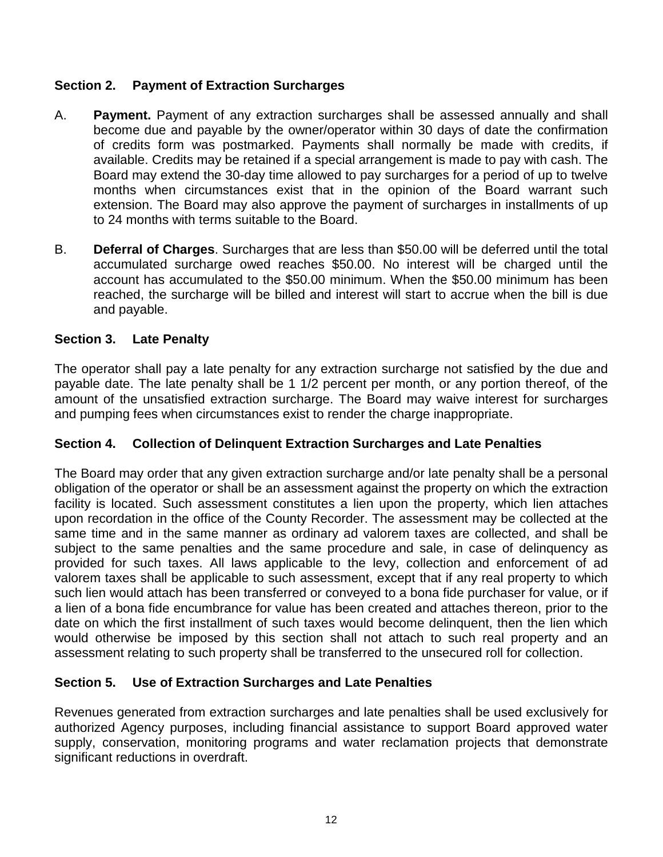## **Section 2. Payment of Extraction Surcharges**

- A. **Payment.** Payment of any extraction surcharges shall be assessed annually and shall become due and payable by the owner/operator within 30 days of date the confirmation of credits form was postmarked. Payments shall normally be made with credits, if available. Credits may be retained if a special arrangement is made to pay with cash. The Board may extend the 30-day time allowed to pay surcharges for a period of up to twelve months when circumstances exist that in the opinion of the Board warrant such extension. The Board may also approve the payment of surcharges in installments of up to 24 months with terms suitable to the Board.
- B. **Deferral of Charges**. Surcharges that are less than \$50.00 will be deferred until the total accumulated surcharge owed reaches \$50.00. No interest will be charged until the account has accumulated to the \$50.00 minimum. When the \$50.00 minimum has been reached, the surcharge will be billed and interest will start to accrue when the bill is due and payable.

## **Section 3. Late Penalty**

The operator shall pay a late penalty for any extraction surcharge not satisfied by the due and payable date. The late penalty shall be 1 1/2 percent per month, or any portion thereof, of the amount of the unsatisfied extraction surcharge. The Board may waive interest for surcharges and pumping fees when circumstances exist to render the charge inappropriate.

## **Section 4. Collection of Delinquent Extraction Surcharges and Late Penalties**

The Board may order that any given extraction surcharge and/or late penalty shall be a personal obligation of the operator or shall be an assessment against the property on which the extraction facility is located. Such assessment constitutes a lien upon the property, which lien attaches upon recordation in the office of the County Recorder. The assessment may be collected at the same time and in the same manner as ordinary ad valorem taxes are collected, and shall be subject to the same penalties and the same procedure and sale, in case of delinquency as provided for such taxes. All laws applicable to the levy, collection and enforcement of ad valorem taxes shall be applicable to such assessment, except that if any real property to which such lien would attach has been transferred or conveyed to a bona fide purchaser for value, or if a lien of a bona fide encumbrance for value has been created and attaches thereon, prior to the date on which the first installment of such taxes would become delinquent, then the lien which would otherwise be imposed by this section shall not attach to such real property and an assessment relating to such property shall be transferred to the unsecured roll for collection.

## **Section 5. Use of Extraction Surcharges and Late Penalties**

Revenues generated from extraction surcharges and late penalties shall be used exclusively for authorized Agency purposes, including financial assistance to support Board approved water supply, conservation, monitoring programs and water reclamation projects that demonstrate significant reductions in overdraft.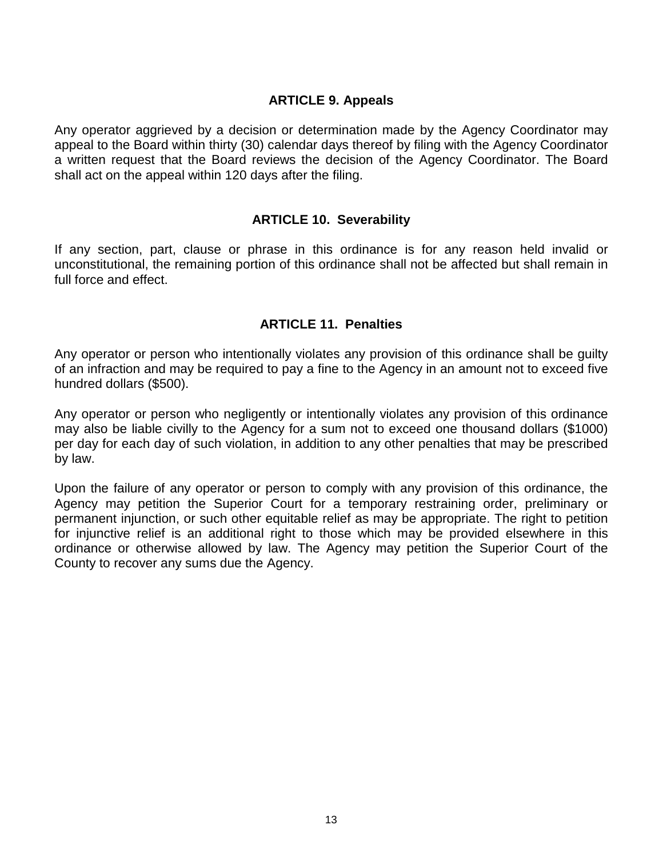#### **ARTICLE 9. Appeals**

Any operator aggrieved by a decision or determination made by the Agency Coordinator may appeal to the Board within thirty (30) calendar days thereof by filing with the Agency Coordinator a written request that the Board reviews the decision of the Agency Coordinator. The Board shall act on the appeal within 120 days after the filing.

#### **ARTICLE 10. Severability**

If any section, part, clause or phrase in this ordinance is for any reason held invalid or unconstitutional, the remaining portion of this ordinance shall not be affected but shall remain in full force and effect.

## **ARTICLE 11. Penalties**

Any operator or person who intentionally violates any provision of this ordinance shall be guilty of an infraction and may be required to pay a fine to the Agency in an amount not to exceed five hundred dollars (\$500).

Any operator or person who negligently or intentionally violates any provision of this ordinance may also be liable civilly to the Agency for a sum not to exceed one thousand dollars (\$1000) per day for each day of such violation, in addition to any other penalties that may be prescribed by law.

Upon the failure of any operator or person to comply with any provision of this ordinance, the Agency may petition the Superior Court for a temporary restraining order, preliminary or permanent injunction, or such other equitable relief as may be appropriate. The right to petition for injunctive relief is an additional right to those which may be provided elsewhere in this ordinance or otherwise allowed by law. The Agency may petition the Superior Court of the County to recover any sums due the Agency.